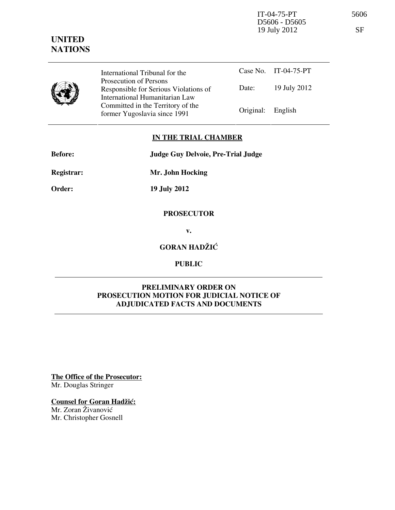

International Tribunal for the Prosecution of Persons Responsible for Serious Violations of International Humanitarian Law Committed in the Territory of the Former Yugoslavia since 1991 Original: English

Case No. IT-04-75-PT Date: 19 July 2012

## IN THE TRIAL CHAMBER

Before: Judge Guy Delvoie, Pre-Trial Judge

Registrar: Mr. John Hocking

Order: 19 July 2012

## **PROSECUTOR**

v.

# GORAN HADŽIĆ

## PUBLIC

### PRELIMINARY ORDER ON PROSECUTION MOTION FOR JUDICIAL NOTICE OF ADJUDICATED FACTS AND DOCUMENTS

The Office of the Prosecutor: Mr. Douglas Stringer

### Counsel for Goran Hadžić:

Mr. Zoran Živanović Mr. Christopher Gosnell